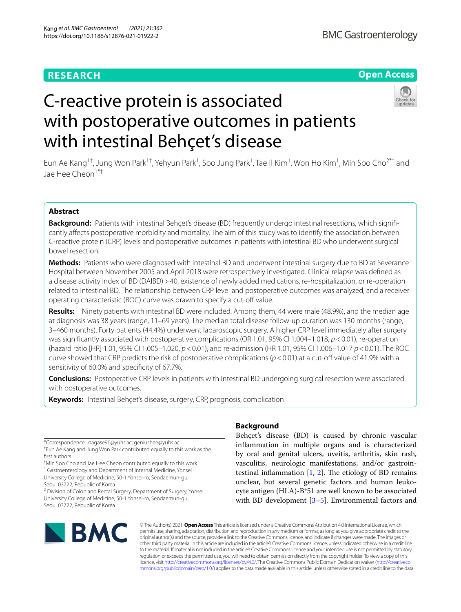# **RESEARCH**

# **Open Access**



# C-reactive protein is associated with postoperative outcomes in patients with intestinal Behçet's disease

Eun Ae Kang<sup>1†</sup>, Jung Won Park<sup>1†</sup>, Yehyun Park<sup>1</sup>, Soo Jung Park<sup>1</sup>, Tae II Kim<sup>1</sup>, Won Ho Kim<sup>1</sup>, Min Soo Cho<sup>2\*†</sup> and Jae Hee Cheon1\*†

# **Abstract**

**Background:** Patients with intestinal Behçet's disease (BD) frequently undergo intestinal resections, which signifcantly afects postoperative morbidity and mortality. The aim of this study was to identify the association between C-reactive protein (CRP) levels and postoperative outcomes in patients with intestinal BD who underwent surgical bowel resection.

**Methods:** Patients who were diagnosed with intestinal BD and underwent intestinal surgery due to BD at Severance Hospital between November 2005 and April 2018 were retrospectively investigated. Clinical relapse was defned as a disease activity index of BD (DAIBD)>40, existence of newly added medications, re-hospitalization, or re-operation related to intestinal BD. The relationship between CRP level and postoperative outcomes was analyzed, and a receiver operating characteristic (ROC) curve was drawn to specify a cut-off value.

**Results:** Ninety patients with intestinal BD were included. Among them, 44 were male (48.9%), and the median age at diagnosis was 38 years (range, 11–69 years). The median total disease follow-up duration was 130 months (range, 3–460 months). Forty patients (44.4%) underwent laparoscopic surgery. A higher CRP level immediately after surgery was signifcantly associated with postoperative complications (OR 1.01, 95% CI 1.004–1.018, *p*<0.01), re-operation (hazard ratio [HR] 1.01, 95% CI 1.005–1.020, *p*<0.01), and re-admission (HR 1.01, 95% CI 1.006–1.017 *p*<0.01). The ROC curve showed that CRP predicts the risk of postoperative complications  $(p < 0.01)$  at a cut-off value of 41.9% with a sensitivity of 60.0% and specifcity of 67.7%.

**Conclusions:** Postoperative CRP levels in patients with intestinal BD undergoing surgical resection were associated with postoperative outcomes.

**Keywords:** Intestinal Behçet's disease, surgery, CRP, prognosis, complication

\*Correspondence: nagase96@yuhs.ac; geniushee@yuhs.ac

† Eun Ae Kang and Jung Won Park contributed equally to this work as the frst authors

† Min Soo Cho and Jae Hee Cheon contributed equally to this work

<sup>1</sup> Gastroenterology and Department of Internal Medicine, Yonsei University College of Medicine, 50-1 Yonsei-ro, Seodaemun-gu, Seoul 03722, Republic of Korea

<sup>2</sup> Division of Colon and Rectal Surgery, Department of Surgery, Yonsei University College of Medicine, 50-1 Yonsei-ro, Seodaemun-gu, Seoul 03722, Republic of Korea

# **Background**

Behçet's disease (BD) is caused by chronic vascular infammation in multiple organs and is characterized by oral and genital ulcers, uveitis, arthritis, skin rash, vasculitis, neurologic manifestations, and/or gastrointestinal inflammation  $[1, 2]$  $[1, 2]$  $[1, 2]$  $[1, 2]$ . The etiology of BD remains unclear, but several genetic factors and human leukocyte antigen (HLA)-B\*51 are well known to be associated with BD development [[3–](#page-7-2)[5\]](#page-7-3). Environmental factors and



© The Author(s) 2021. **Open Access** This article is licensed under a Creative Commons Attribution 4.0 International License, which permits use, sharing, adaptation, distribution and reproduction in any medium or format, as long as you give appropriate credit to the original author(s) and the source, provide a link to the Creative Commons licence, and indicate if changes were made. The images or other third party material in this article are included in the article's Creative Commons licence, unless indicated otherwise in a credit line to the material. If material is not included in the article's Creative Commons licence and your intended use is not permitted by statutory regulation or exceeds the permitted use, you will need to obtain permission directly from the copyright holder. To view a copy of this licence, visit [http://creativecommons.org/licenses/by/4.0/.](http://creativecommons.org/licenses/by/4.0/) The Creative Commons Public Domain Dedication waiver ([http://creativeco](http://creativecommons.org/publicdomain/zero/1.0/) [mmons.org/publicdomain/zero/1.0/](http://creativecommons.org/publicdomain/zero/1.0/)) applies to the data made available in this article, unless otherwise stated in a credit line to the data.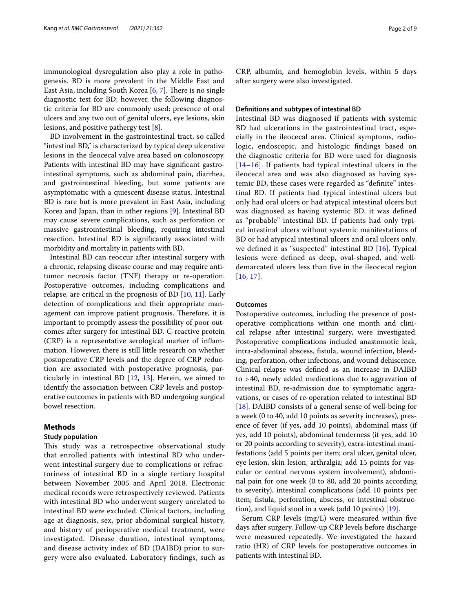immunological dysregulation also play a role in pathogenesis. BD is more prevalent in the Middle East and East Asia, including South Korea  $[6, 7]$  $[6, 7]$  $[6, 7]$  $[6, 7]$ . There is no single diagnostic test for BD; however, the following diagnostic criteria for BD are commonly used: presence of oral ulcers and any two out of genital ulcers, eye lesions, skin lesions, and positive pathergy test [\[8](#page-7-6)].

BD involvement in the gastrointestinal tract, so called "intestinal BD," is characterized by typical deep ulcerative lesions in the ileocecal valve area based on colonoscopy. Patients with intestinal BD may have signifcant gastrointestinal symptoms, such as abdominal pain, diarrhea, and gastrointestinal bleeding, but some patients are asymptomatic with a quiescent disease status. Intestinal BD is rare but is more prevalent in East Asia, including Korea and Japan, than in other regions [[9\]](#page-7-7). Intestinal BD may cause severe complications, such as perforation or massive gastrointestinal bleeding, requiring intestinal resection. Intestinal BD is signifcantly associated with morbidity and mortality in patients with BD.

Intestinal BD can reoccur after intestinal surgery with a chronic, relapsing disease course and may require antitumor necrosis factor (TNF) therapy or re-operation. Postoperative outcomes, including complications and relapse, are critical in the prognosis of BD [[10,](#page-7-8) [11](#page-7-9)]. Early detection of complications and their appropriate management can improve patient prognosis. Therefore, it is important to promptly assess the possibility of poor outcomes after surgery for intestinal BD. C-reactive protein (CRP) is a representative serological marker of infammation. However, there is still little research on whether postoperative CRP levels and the degree of CRP reduction are associated with postoperative prognosis, particularly in intestinal BD  $[12, 13]$  $[12, 13]$  $[12, 13]$  $[12, 13]$ . Herein, we aimed to identify the association between CRP levels and postoperative outcomes in patients with BD undergoing surgical bowel resection.

# **Methods**

# **Study population**

This study was a retrospective observational study that enrolled patients with intestinal BD who underwent intestinal surgery due to complications or refractoriness of intestinal BD in a single tertiary hospital between November 2005 and April 2018. Electronic medical records were retrospectively reviewed. Patients with intestinal BD who underwent surgery unrelated to intestinal BD were excluded. Clinical factors, including age at diagnosis, sex, prior abdominal surgical history, and history of perioperative medical treatment, were investigated. Disease duration, intestinal symptoms, and disease activity index of BD (DAIBD) prior to surgery were also evaluated. Laboratory fndings, such as CRP, albumin, and hemoglobin levels, within 5 days after surgery were also investigated.

# **Defnitions and subtypes of intestinal BD**

Intestinal BD was diagnosed if patients with systemic BD had ulcerations in the gastrointestinal tract, especially in the ileocecal area. Clinical symptoms, radiologic, endoscopic, and histologic fndings based on the diagnostic criteria for BD were used for diagnosis [[14](#page-7-12)[–16](#page-7-13)]. If patients had typical intestinal ulcers in the ileocecal area and was also diagnosed as having systemic BD, these cases were regarded as "defnite" intestinal BD. If patients had typical intestinal ulcers but only had oral ulcers or had atypical intestinal ulcers but was diagnosed as having systemic BD, it was defned as "probable" intestinal BD. If patients had only typical intestinal ulcers without systemic manifestations of BD or had atypical intestinal ulcers and oral ulcers only, we defned it as "suspected" intestinal BD [[16](#page-7-13)]. Typical lesions were defned as deep, oval-shaped, and welldemarcated ulcers less than fve in the ileocecal region [[16](#page-7-13), [17](#page-7-14)].

## **Outcomes**

Postoperative outcomes, including the presence of postoperative complications within one month and clinical relapse after intestinal surgery, were investigated. Postoperative complications included anastomotic leak, intra-abdominal abscess, fstula, wound infection, bleeding, perforation, other infections, and wound dehiscence. Clinical relapse was defned as an increase in DAIBD to >40, newly added medications due to aggravation of intestinal BD, re-admission due to symptomatic aggravations, or cases of re-operation related to intestinal BD [[18\]](#page-7-15). DAIBD consists of a general sense of well-being for a week (0 to 40, add 10 points as severity increases), presence of fever (if yes, add 10 points), abdominal mass (if yes, add 10 points), abdominal tenderness (if yes, add 10 or 20 points according to severity), extra-intestinal manifestations (add 5 points per item; oral ulcer, genital ulcer, eye lesion, skin lesion, arthralgia; add 15 points for vascular or central nervous system involvement), abdominal pain for one week (0 to 80, add 20 points according to severity), intestinal complications (add 10 points per item; fistula, perforation, abscess, or intestinal obstruction), and liquid stool in a week (add 10 points) [[19\]](#page-7-16).

Serum CRP levels (mg/L) were measured within fve days after surgery. Follow-up CRP levels before discharge were measured repeatedly. We investigated the hazard ratio (HR) of CRP levels for postoperative outcomes in patients with intestinal BD.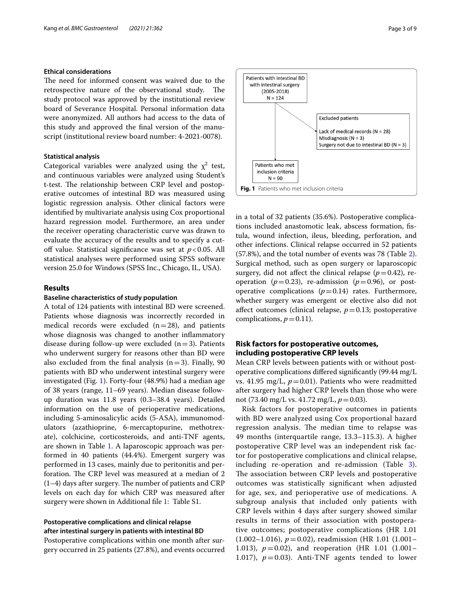# **Ethical considerations**

The need for informed consent was waived due to the retrospective nature of the observational study. The study protocol was approved by the institutional review board of Severance Hospital. Personal information data were anonymized. All authors had access to the data of this study and approved the fnal version of the manuscript (institutional review board number: 4-2021-0078).

#### **Statistical analysis**

Categorical variables were analyzed using the  $\chi^2$  test, and continuous variables were analyzed using Student's t-test. The relationship between CRP level and postoperative outcomes of intestinal BD was measured using logistic regression analysis. Other clinical factors were identifed by multivariate analysis using Cox proportional hazard regression model. Furthermore, an area under the receiver operating characteristic curve was drawn to evaluate the accuracy of the results and to specify a cutoff value. Statistical significance was set at  $p < 0.05$ . All statistical analyses were performed using SPSS software version 25.0 for Windows (SPSS Inc., Chicago, IL, USA).

# **Results**

# **Baseline characteristics of study population**

A total of 124 patients with intestinal BD were screened. Patients whose diagnosis was incorrectly recorded in medical records were excluded  $(n=28)$ , and patients whose diagnosis was changed to another inflammatory disease during follow-up were excluded  $(n=3)$ . Patients who underwent surgery for reasons other than BD were also excluded from the final analysis  $(n=3)$ . Finally, 90 patients with BD who underwent intestinal surgery were investigated (Fig. [1\)](#page-2-0). Forty-four (48.9%) had a median age of 38 years (range, 11–69 years). Median disease followup duration was 11.8 years (0.3–38.4 years). Detailed information on the use of perioperative medications, including 5-aminosalicylic acids (5-ASA), immunomodulators (azathioprine, 6-mercaptopurine, methotrexate), colchicine, corticosteroids, and anti-TNF agents, are shown in Table [1.](#page-3-0) A laparoscopic approach was performed in 40 patients (44.4%). Emergent surgery was performed in 13 cases, mainly due to peritonitis and perforation. The CRP level was measured at a median of 2  $(1-4)$  days after surgery. The number of patients and CRP levels on each day for which CRP was measured after surgery were shown in Additional file [1](#page-6-0): Table S1.

# **Postoperative complications and clinical relapse after intestinal surgery in patients with intestinal BD**

Postoperative complications within one month after surgery occurred in 25 patients (27.8%), and events occurred

<span id="page-2-0"></span>in a total of 32 patients (35.6%). Postoperative complications included anastomotic leak, abscess formation, fstula, wound infection, ileus, bleeding, perforation, and other infections. Clinical relapse occurred in 52 patients (57.8%), and the total number of events was 78 (Table [2](#page-4-0)). Surgical method, such as open surgery or laparoscopic surgery, did not affect the clinical relapse  $(p=0.42)$ , reoperation ( $p=0.23$ ), re-admission ( $p=0.96$ ), or postoperative complications  $(p=0.14)$  rates. Furthermore, whether surgery was emergent or elective also did not affect outcomes (clinical relapse,  $p=0.13$ ; postoperative complications,  $p=0.11$ ).

# **Risk factors for postoperative outcomes, including postoperative CRP levels**

Mean CRP levels between patients with or without postoperative complications difered signifcantly (99.44 mg/L vs. 41.95 mg/L,  $p=0.01$ ). Patients who were readmitted after surgery had higher CRP levels than those who were not (73.40 mg/L vs. 41.72 mg/L, *p*=0.03).

Risk factors for postoperative outcomes in patients with BD were analyzed using Cox proportional hazard regression analysis. The median time to relapse was 49 months (interquartile range, 13.3–115.3). A higher postoperative CRP level was an independent risk factor for postoperative complications and clinical relapse, including re-operation and re-admission (Table [3](#page-4-1)). The association between CRP levels and postoperative outcomes was statistically signifcant when adjusted for age, sex, and perioperative use of medications. A subgroup analysis that included only patients with CRP levels within 4 days after surgery showed similar results in terms of their association with postoperative outcomes; postoperative complications (HR 1.01 (1.002–1.016), *p*=0.02), readmission (HR 1.01 (1.001– 1.013), *p*=0.02), and reoperation (HR 1.01 (1.001– 1.017),  $p = 0.03$ ). Anti-TNF agents tended to lower

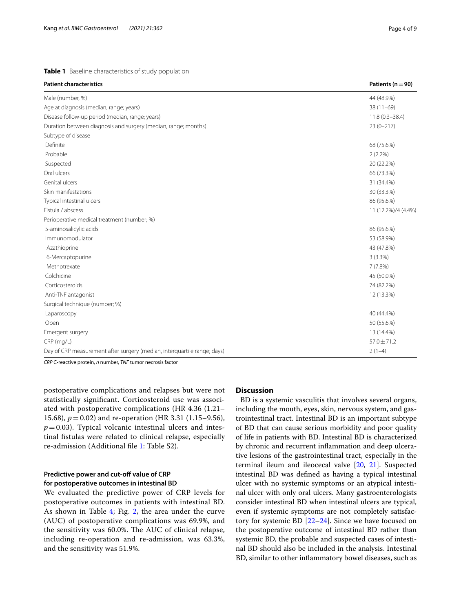<span id="page-3-0"></span>**Table 1** Baseline characteristics of study population

| <b>Patient characteristics</b>                                           | Patients ( $n = 90$ ) |
|--------------------------------------------------------------------------|-----------------------|
| Male (number, %)                                                         | 44 (48.9%)            |
| Age at diagnosis (median, range; years)                                  | $38(11-69)$           |
| Disease follow-up period (median, range; years)                          | $11.8(0.3 - 38.4)$    |
| Duration between diagnosis and surgery (median, range; months)           | $23(0-217)$           |
| Subtype of disease                                                       |                       |
| Definite                                                                 | 68 (75.6%)            |
| Probable                                                                 | $2(2.2\%)$            |
| Suspected                                                                | 20 (22.2%)            |
| Oral ulcers                                                              | 66 (73.3%)            |
| Genital ulcers                                                           | 31 (34.4%)            |
| Skin manifestations                                                      | 30 (33.3%)            |
| Typical intestinal ulcers                                                | 86 (95.6%)            |
| Fistula / abscess                                                        | 11 (12.2%)/4 (4.4%)   |
| Perioperative medical treatment (number; %)                              |                       |
| 5-aminosalicylic acids                                                   | 86 (95.6%)            |
| Immunomodulator                                                          | 53 (58.9%)            |
| Azathioprine                                                             | 43 (47.8%)            |
| 6-Mercaptopurine                                                         | $3(3.3\%)$            |
| Methotrexate                                                             | 7(7.8%)               |
| Colchicine                                                               | 45 (50.0%)            |
| Corticosteroids                                                          | 74 (82.2%)            |
| Anti-TNF antagonist                                                      | 12 (13.3%)            |
| Surgical technique (number; %)                                           |                       |
| Laparoscopy                                                              | 40 (44.4%)            |
| Open                                                                     | 50 (55.6%)            |
| Emergent surgery                                                         | 13 (14.4%)            |
| CRP (mg/L)                                                               | $57.0 \pm 71.2$       |
| Day of CRP measurement after surgery (median, interquartile range; days) | $2(1-4)$              |

*CRP* C-reactive protein, *n* number, *TNF* tumor necrosis factor

postoperative complications and relapses but were not statistically signifcant. Corticosteroid use was associated with postoperative complications (HR 4.36 (1.21– 15.68), *p*=0.02) and re-operation (HR 3.31 (1.15–9.56),  $p=0.03$ ). Typical volcanic intestinal ulcers and intestinal fstulas were related to clinical relapse, especially re-admission (Additional fle [1](#page-6-0): Table S2).

# Predictive power and cut-off value of CRP **for postoperative outcomes in intestinal BD**

We evaluated the predictive power of CRP levels for postoperative outcomes in patients with intestinal BD. As shown in Table [4](#page-4-2); Fig. [2,](#page-5-0) the area under the curve (AUC) of postoperative complications was 69.9%, and the sensitivity was  $60.0\%$ . The AUC of clinical relapse, including re-operation and re-admission, was 63.3%, and the sensitivity was 51.9%.

## **Discussion**

 BD is a systemic vasculitis that involves several organs, including the mouth, eyes, skin, nervous system, and gastrointestinal tract. Intestinal BD is an important subtype of BD that can cause serious morbidity and poor quality of life in patients with BD. Intestinal BD is characterized by chronic and recurrent infammation and deep ulcerative lesions of the gastrointestinal tract, especially in the terminal ileum and ileocecal valve [\[20](#page-7-17), [21\]](#page-7-18). Suspected intestinal BD was defned as having a typical intestinal ulcer with no systemic symptoms or an atypical intestinal ulcer with only oral ulcers. Many gastroenterologists consider intestinal BD when intestinal ulcers are typical, even if systemic symptoms are not completely satisfactory for systemic BD [\[22](#page-7-19)[–24](#page-7-20)]. Since we have focused on the postoperative outcome of intestinal BD rather than systemic BD, the probable and suspected cases of intestinal BD should also be included in the analysis. Intestinal BD, similar to other infammatory bowel diseases, such as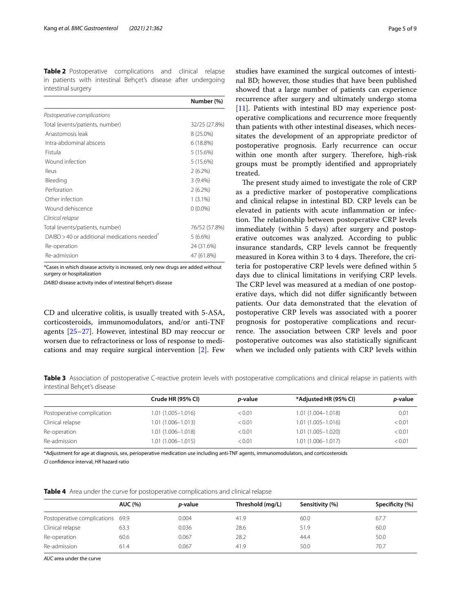<span id="page-4-0"></span>**Table 2** Postoperative complications and clinical relapse in patients with intestinal Behçet's disease after undergoing intestinal surgery

|                                                          | Number (%)    |
|----------------------------------------------------------|---------------|
| Postoperative complications                              |               |
| Total (events/patients, number)                          | 32/25 (27.8%) |
| Anastomosis leak                                         | $8(25.0\%)$   |
| Intra-abdominal abscess                                  | 6(18.8%)      |
| Fistula                                                  | 5(15.6%)      |
| Wound infection                                          | 5(15.6%)      |
| lleus                                                    | $2(6.2\%)$    |
| Bleeding                                                 | $3(9.4\%)$    |
| Perforation                                              | $2(6.2\%)$    |
| Other infection                                          | $1(3.1\%)$    |
| Wound dehiscence                                         | $0(0.0\%)$    |
| Clinical relapse                                         |               |
| Total (events/patients, number)                          | 76/52 (57.8%) |
| DAIBD > 40 or additional medications needed <sup>*</sup> | $5(6.6\%)$    |
| Re-operation                                             | 24 (31.6%)    |
| Re-admission                                             | 47 (61.8%)    |
|                                                          |               |

\*Cases in which disease activity is increased, only new drugs are added without surgery or hospitalization

*DAIBD* disease activity index of intestinal Behçet's disease

CD and ulcerative colitis, is usually treated with 5-ASA, corticosteroids, immunomodulators, and/or anti-TNF agents [[25–](#page-7-21)[27](#page-7-22)]. However, intestinal BD may reoccur or worsen due to refractoriness or loss of response to medications and may require surgical intervention [\[2](#page-7-1)]. Few studies have examined the surgical outcomes of intestinal BD; however, those studies that have been published showed that a large number of patients can experience recurrence after surgery and ultimately undergo stoma [[11\]](#page-7-9). Patients with intestinal BD may experience postoperative complications and recurrence more frequently than patients with other intestinal diseases, which necessitates the development of an appropriate predictor of postoperative prognosis. Early recurrence can occur within one month after surgery. Therefore, high-risk groups must be promptly identifed and appropriately treated.

The present study aimed to investigate the role of CRP as a predictive marker of postoperative complications and clinical relapse in intestinal BD. CRP levels can be elevated in patients with acute infammation or infection. The relationship between postoperative CRP levels immediately (within 5 days) after surgery and postoperative outcomes was analyzed. According to public insurance standards, CRP levels cannot be frequently measured in Korea within 3 to 4 days. Therefore, the criteria for postoperative CRP levels were defned within 5 days due to clinical limitations in verifying CRP levels. The CRP level was measured at a median of one postoperative days, which did not difer signifcantly between patients. Our data demonstrated that the elevation of postoperative CRP levels was associated with a poorer prognosis for postoperative complications and recurrence. The association between CRP levels and poor postoperative outcomes was also statistically signifcant when we included only patients with CRP levels within

<span id="page-4-1"></span>**Table 3** Association of postoperative C-reactive protein levels with postoperative complications and clinical relapse in patients with intestinal Behçet's disease

| Crude HR (95% CI)     | <i>p</i> -value | *Adjusted HR (95% CI) | <i>p</i> -value |
|-----------------------|-----------------|-----------------------|-----------------|
| $1.01(1.005 - 1.016)$ | < 0.01          | $1.01(1.004 - 1.018)$ | 0.01            |
| $1.01(1.006 - 1.013)$ | < 0.01          | $1.01(1.005 - 1.016)$ | < 0.01          |
| $1.01(1.006 - 1.018)$ | < 0.01          | $1.01(1.005 - 1.020)$ | < 0.01          |
| 1.01 (1.006-1.015)    | < 0.01          | $1.01(1.006 - 1.017)$ | < 0.01          |
|                       |                 |                       |                 |

\*Adjustment for age at diagnosis, sex, perioperative medication use including anti-TNF agents, immunomodulators, and corticosteroids

*CI* confdence interval, *HR* hazard ratio

<span id="page-4-2"></span>

|  |  |  |  |  | <b>Table 4</b> Area under the curve for postoperative complications and clinical relapse |
|--|--|--|--|--|------------------------------------------------------------------------------------------|
|--|--|--|--|--|------------------------------------------------------------------------------------------|

| <b>AUC (%)</b>                   | <i>p</i> -value | Threshold (mg/L) | Sensitivity (%) | Specificity (%) |  |
|----------------------------------|-----------------|------------------|-----------------|-----------------|--|
| Postoperative complications 69.9 | 0.004           | 41.9             | 60.0            | 67.7            |  |
| 63.3                             | 0.036           | 28.6             | 51.9            | 60.0            |  |
| 60.6                             | 0.067           | 28.2             | 44.4            | 50.0            |  |
| 61.4                             | 0.067           | 41.9             | 50.0            | 70.7            |  |
|                                  |                 |                  |                 |                 |  |

*AUC* area under the curve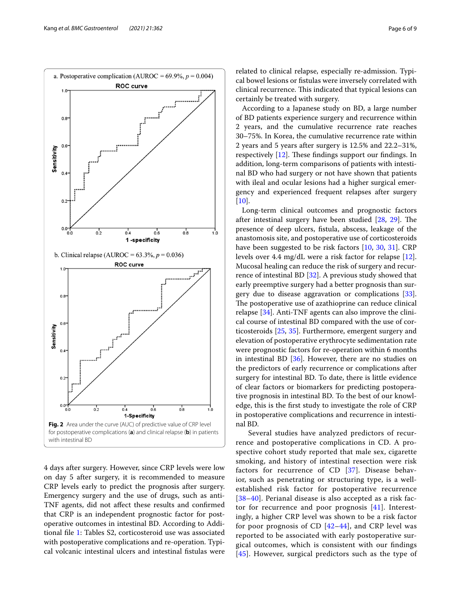

<span id="page-5-0"></span>4 days after surgery. However, since CRP levels were low on day 5 after surgery, it is recommended to measure CRP levels early to predict the prognosis after surgery. Emergency surgery and the use of drugs, such as anti-TNF agents, did not afect these results and confrmed that CRP is an independent prognostic factor for postoperative outcomes in intestinal BD. According to Additional fle [1:](#page-6-0) Tables S2, corticosteroid use was associated with postoperative complications and re-operation. Typical volcanic intestinal ulcers and intestinal fstulas were related to clinical relapse, especially re-admission. Typical bowel lesions or fstulas were inversely correlated with clinical recurrence. This indicated that typical lesions can certainly be treated with surgery.

According to a Japanese study on BD, a large number of BD patients experience surgery and recurrence within 2 years, and the cumulative recurrence rate reaches 30–75%. In Korea, the cumulative recurrence rate within 2 years and 5 years after surgery is 12.5% and 22.2–31%, respectively  $[12]$ . These findings support our findings. In addition, long-term comparisons of patients with intestinal BD who had surgery or not have shown that patients with ileal and ocular lesions had a higher surgical emergency and experienced frequent relapses after surgery  $[10]$  $[10]$ .

Long-term clinical outcomes and prognostic factors after intestinal surgery have been studied  $[28, 29]$  $[28, 29]$  $[28, 29]$  $[28, 29]$ . The presence of deep ulcers, fstula, abscess, leakage of the anastomosis site, and postoperative use of corticosteroids have been suggested to be risk factors [[10](#page-7-8), [30,](#page-7-25) [31](#page-7-26)]. CRP levels over 4.4 mg/dL were a risk factor for relapse [\[12](#page-7-10)]. Mucosal healing can reduce the risk of surgery and recurrence of intestinal BD [\[32](#page-7-27)]. A previous study showed that early preemptive surgery had a better prognosis than surgery due to disease aggravation or complications [\[33](#page-7-28)]. The postoperative use of azathioprine can reduce clinical relapse [\[34](#page-7-29)]. Anti-TNF agents can also improve the clinical course of intestinal BD compared with the use of corticosteroids [\[25](#page-7-21), [35\]](#page-7-30). Furthermore, emergent surgery and elevation of postoperative erythrocyte sedimentation rate were prognostic factors for re-operation within 6 months in intestinal BD  $[36]$  $[36]$ . However, there are no studies on the predictors of early recurrence or complications after surgery for intestinal BD. To date, there is little evidence of clear factors or biomarkers for predicting postoperative prognosis in intestinal BD. To the best of our knowledge, this is the frst study to investigate the role of CRP in postoperative complications and recurrence in intestinal BD.

 Several studies have analyzed predictors of recurrence and postoperative complications in CD. A prospective cohort study reported that male sex, cigarette smoking, and history of intestinal resection were risk factors for recurrence of CD [[37\]](#page-7-32). Disease behavior, such as penetrating or structuring type, is a wellestablished risk factor for postoperative recurrence [[38](#page-7-33)[–40](#page-8-0)]. Perianal disease is also accepted as a risk factor for recurrence and poor prognosis [\[41](#page-8-1)]. Interestingly, a higher CRP level was shown to be a risk factor for poor prognosis of CD  $[42-44]$  $[42-44]$  $[42-44]$ , and CRP level was reported to be associated with early postoperative surgical outcomes, which is consistent with our fndings [[45](#page-8-4)]. However, surgical predictors such as the type of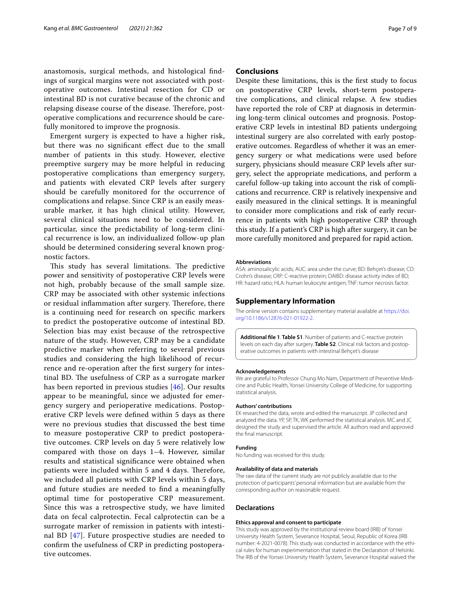anastomosis, surgical methods, and histological fndings of surgical margins were not associated with postoperative outcomes. Intestinal resection for CD or intestinal BD is not curative because of the chronic and relapsing disease course of the disease. Therefore, postoperative complications and recurrence should be carefully monitored to improve the prognosis.

Emergent surgery is expected to have a higher risk, but there was no signifcant efect due to the small number of patients in this study. However, elective preemptive surgery may be more helpful in reducing postoperative complications than emergency surgery, and patients with elevated CRP levels after surgery should be carefully monitored for the occurrence of complications and relapse. Since CRP is an easily measurable marker, it has high clinical utility. However, several clinical situations need to be considered. In particular, since the predictability of long-term clinical recurrence is low, an individualized follow-up plan should be determined considering several known prognostic factors.

This study has several limitations. The predictive power and sensitivity of postoperative CRP levels were not high, probably because of the small sample size. CRP may be associated with other systemic infections or residual inflammation after surgery. Therefore, there is a continuing need for research on specifc markers to predict the postoperative outcome of intestinal BD. Selection bias may exist because of the retrospective nature of the study. However, CRP may be a candidate predictive marker when referring to several previous studies and considering the high likelihood of recurrence and re-operation after the frst surgery for intestinal BD. The usefulness of CRP as a surrogate marker has been reported in previous studies [[46\]](#page-8-5). Our results appear to be meaningful, since we adjusted for emergency surgery and perioperative medications. Postoperative CRP levels were defned within 5 days as there were no previous studies that discussed the best time to measure postoperative CRP to predict postoperative outcomes. CRP levels on day 5 were relatively low compared with those on days 1–4. However, similar results and statistical signifcance were obtained when patients were included within 5 and 4 days. Therefore, we included all patients with CRP levels within 5 days, and future studies are needed to fnd a meaningfully optimal time for postoperative CRP measurement. Since this was a retrospective study, we have limited data on fecal calprotectin. Fecal calprotectin can be a surrogate marker of remission in patients with intestinal BD [[47\]](#page-8-6). Future prospective studies are needed to confrm the usefulness of CRP in predicting postoperative outcomes.

# **Conclusions**

Despite these limitations, this is the frst study to focus on postoperative CRP levels, short-term postoperative complications, and clinical relapse. A few studies have reported the role of CRP at diagnosis in determining long-term clinical outcomes and prognosis. Postoperative CRP levels in intestinal BD patients undergoing intestinal surgery are also correlated with early postoperative outcomes. Regardless of whether it was an emergency surgery or what medications were used before surgery, physicians should measure CRP levels after surgery, select the appropriate medications, and perform a careful follow-up taking into account the risk of complications and recurrence. CRP is relatively inexpensive and easily measured in the clinical settings. It is meaningful to consider more complications and risk of early recurrence in patients with high postoperative CRP through this study. If a patient's CRP is high after surgery, it can be more carefully monitored and prepared for rapid action.

#### **Abbreviations**

ASA: aminosalicylic acids; AUC: area under the curve; BD: Behçet's disease; CD: Crohn's disease; CRP: C-reactive protein; DAIBD: disease activity index of BD; HR: hazard ratio; HLA: human leukocyte antigen; TNF: tumor necrosis factor.

#### **Supplementary Information**

The online version contains supplementary material available at [https://doi.](https://doi.org/10.1186/s12876-021-01922-2) [org/10.1186/s12876-021-01922-2](https://doi.org/10.1186/s12876-021-01922-2).

<span id="page-6-0"></span>**Additional fle 1**. **Table S1**. Number of patients and C-reactive protein levels on each day after surgery. **Table S2**. Clinical risk factors and postoperative outcomes in patients with intestinal Behçet's disease

#### **Acknowledgements**

We are grateful to Professor Chung Mo Nam, Department of Preventive Medicine and Public Health, Yonsei University College of Medicine, for supporting statistical analysis.

#### **Authors' contributions**

EK researched the data, wrote and edited the manuscript. JP collected and analyzed the data. YP, SP, TK, WK performed the statistical analysis. MC and JC designed the study and supervised the article. All authors read and approved the fnal manuscript.

#### **Funding**

No funding was received for this study.

#### **Availability of data and materials**

The raw data of the current study are not publicly available due to the protection of participants' personal information but are available from the corresponding author on reasonable request.

## **Declarations**

#### **Ethics approval and consent to participate**

This study was approved by the institutional review board (IRB) of Yonsei University Health System, Severance Hospital, Seoul, Republic of Korea (IRB number: 4-2021-0078). This study was conducted in accordance with the ethical rules for human experimentation that stated in the Declaration of Helsinki. The IRB of the Yonsei University Health System, Severance Hospital waived the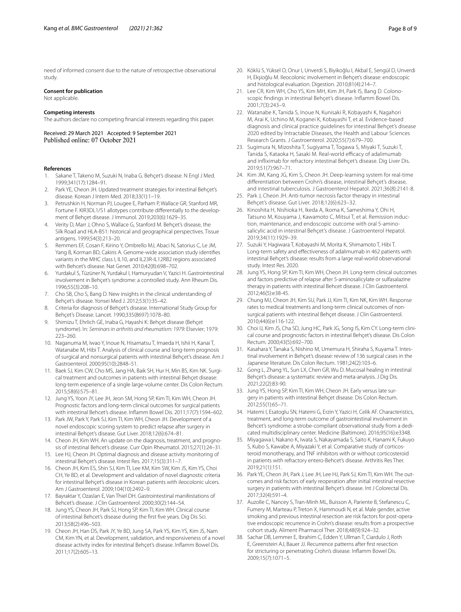need of informed consent due to the nature of retrospective observational study.

### **Consent for publication**

Not applicable.

#### **Competing interests**

The authors declare no competing fnancial interests regarding this paper.

Received: 29 March 2021 Accepted: 9 September 2021 Published online: 07 October 2021

#### **References**

- <span id="page-7-0"></span>1. Sakane T, Takeno M, Suzuki N, Inaba G. Behçet's disease. N Engl J Med. 1999;341(17):1284–91.
- <span id="page-7-1"></span>2. Park YE, Cheon JH. Updated treatment strategies for intestinal Behçet's disease. Korean J Intern Med. 2018;33(1):1–19.
- <span id="page-7-2"></span>3. Petrushkin H, Norman PJ, Lougee E, Parham P, Wallace GR, Stanford MR, Fortune F. KIR3DL1/S1 allotypes contribute diferentially to the development of Behçet disease. J Immunol. 2019;203(6):1629–35.
- Verity D, Marr J, Ohno S, Wallace G, Stanford M. Behçet's disease, the Silk Road and HLA-B51: historical and geographical perspectives. Tissue antigens. 1999;54(3):213–20.
- <span id="page-7-3"></span>5. Remmers EF, Cosan F, Kirino Y, Ombrello MJ, Abaci N, Satorius C, Le JM, Yang B, Korman BD, Cakiris A. Genome-wide association study identifes variants in the MHC class I, IL10, and IL23R-IL12RB2 regions associated with Behcet's disease. Nat Genet. 2010;42(8):698–702.
- <span id="page-7-4"></span>6. Yurdakul S, Tüzüner N, Yurdakul I, Hamuryudan V, Yazici H. Gastrointestinal involvement in Behçet's syndrome: a controlled study. Ann Rheum Dis. 1996;55(3):208–10.
- <span id="page-7-5"></span>7. Cho SB, Cho S, Bang D. New insights in the clinical understanding of Behçet's disease. Yonsei Med J. 2012;53(1):35–42.
- <span id="page-7-6"></span>8. Criteria for diagnosis of Behçet's disease. International Study Group for Behçet's Disease. Lancet. 1990;335(8697):1078–80.
- <span id="page-7-7"></span>9. Shimizu T, Ehrlich GE, Inaba G, Hayashi K: Behçet disease (Behçet syndrome). In: *Seminars in arthritis and rheumatism: 1979*: Elsevier; 1979: 223–260.
- <span id="page-7-8"></span>10. Naganuma M, Iwao Y, Inoue N, Hisamatsu T, Imaeda H, Ishii H, Kanai T, Watanabe M, Hibi T. Analysis of clinical course and long-term prognosis of surgical and nonsurgical patients with intestinal Behçet's disease. Am J Gastroenterol. 2000;95(10):2848–51.
- <span id="page-7-9"></span>11. Baek SJ, Kim CW, Cho MS, Jang HA, Baik SH, Hur H, Min BS, Kim NK. Surgical treatment and outcomes in patients with intestinal Behçet disease: long-term experience of a single large-volume center. Dis Colon Rectum. 2015;58(6):575–81.
- <span id="page-7-10"></span>12. Jung YS, Yoon JY, Lee JH, Jeon SM, Hong SP, Kim TI, Kim WH, Cheon JH. Prognostic factors and long-term clinical outcomes for surgical patients with intestinal Behcet's disease. Infamm Bowel Dis. 2011;17(7):1594–602.
- <span id="page-7-11"></span>13. Park JW, Park Y, Park SJ, Kim TI, Kim WH, Cheon JH. Development of a novel endoscopic scoring system to predict relapse after surgery in intestinal Behçet's disease. Gut Liver. 2018;12(6):674–81.
- <span id="page-7-12"></span>14. Cheon JH, Kim WH. An update on the diagnosis, treatment, and prognosis of intestinal Behcet's disease. Curr Opin Rheumatol. 2015;27(1):24–31.
- 15. Lee HJ, Cheon JH. Optimal diagnosis and disease activity monitoring of intestinal Behçet's disease. Intest Res. 2017;15(3):311–7.
- <span id="page-7-13"></span>16. Cheon JH, Kim ES, Shin SJ, Kim TI, Lee KM, Kim SW, Kim JS, Kim YS, Choi CH, Ye BD, et al. Development and validation of novel diagnostic criteria for intestinal Behçet's disease in Korean patients with ileocolonic ulcers. Am J Gastroenterol. 2009;104(10):2492–9.
- <span id="page-7-14"></span>17. Bayraktar Y, Ozaslan E, Van Thiel DH. Gastrointestinal manifestations of Behcet's disease. J Clin Gastroenterol. 2000;30(2):144–54.
- <span id="page-7-15"></span>18. Jung YS, Cheon JH, Park SJ, Hong SP, Kim TI, Kim WH. Clinical course of intestinal Behcet's disease during the frst fve years. Dig Dis Sci. 2013;58(2):496–503.
- <span id="page-7-16"></span>19. Cheon JH, Han DS, Park JY, Ye BD, Jung SA, Park YS, Kim YS, Kim JS, Nam CM, Kim YN, et al. Development, validation, and responsiveness of a novel disease activity index for intestinal Behçet's disease. Infamm Bowel Dis. 2011;17(2):605–13.
- <span id="page-7-17"></span>20. Köklü S, Yüksel O, Onur I, Unverdi S, Biyikoğlu I, Akbal E, Sengül D, Unverdi H, Ekşioğlu M. Ileocolonic involvement in Behçet's disease: endoscopic and histological evaluation. Digestion. 2010;81(4):214–7.
- <span id="page-7-18"></span>21. Lee CR, Kim WH, Cho YS, Kim MH, Kim JH, Park IS, Bang D. Colonoscopic fndings in intestinal Behçet's disease. Infamm Bowel Dis. 2001;7(3):243–9.
- <span id="page-7-19"></span>22. Watanabe K, Tanida S, Inoue N, Kunisaki R, Kobayashi K, Nagahori M, Arai K, Uchino M, Koganei K, Kobayashi T, et al. Evidence-based diagnosis and clinical practice guidelines for intestinal Behçet's disease 2020 edited by Intractable Diseases, the Health and Labour Sciences Research Grants. J Gastroenterol. 2020;55(7):679–700.
- 23. Sugimura N, Mizoshita T, Sugiyama T, Togawa S, Miyaki T, Suzuki T, Tanida S, Kataoka H, Sasaki M. Real-world efficacy of adalimumab and infiximab for refractory intestinal Behçet's disease. Dig Liver Dis. 2019;51(7):967–71.
- <span id="page-7-20"></span>24. Kim JM, Kang JG, Kim S, Cheon JH. Deep-learning system for real-time diferentiation between Crohn's disease, intestinal Behçet's disease, and intestinal tuberculosis. J Gastroenterol Hepatol. 2021;36(8):2141-8.
- <span id="page-7-21"></span>25. Park J, Cheon JH. Anti-tumor necrosis factor therapy in intestinal Behçet's disease. Gut Liver. 2018;12(6):623–32.
- 26. Kinoshita H, Nishioka H, Ikeda A, Ikoma K, Sameshima Y, Ohi H, Tatsuno M, Kouyama J, Kawamoto C, Mitsui T, et al. Remission induction, maintenance, and endoscopic outcome with oral 5-aminosalicylic acid in intestinal Behçet's disease. J Gastroenterol Hepatol. 2019;34(11):1929–39.
- <span id="page-7-22"></span>27. Suzuki Y, Hagiwara T, Kobayashi M, Morita K, Shimamoto T, Hibi T. Long-term safety and efectiveness of adalimumab in 462 patients with intestinal Behçet's disease: results from a large real-world observational study. Intest Res. 2020.
- <span id="page-7-23"></span>28. Jung YS, Hong SP, Kim TI, Kim WH, Cheon JH. Long-term clinical outcomes and factors predictive of relapse after 5-aminosalicylate or sulfasalazine therapy in patients with intestinal Behcet disease. J Clin Gastroenterol. 2012;46(5):e38-45.
- <span id="page-7-24"></span>29. Chung MJ, Cheon JH, Kim SU, Park JJ, Kim TI, Kim NK, Kim WH. Response rates to medical treatments and long-term clinical outcomes of nonsurgical patients with intestinal Behçet disease. J Clin Gastroenterol. 2010;44(6):e116-122.
- <span id="page-7-25"></span>30. Choi IJ, Kim JS, Cha SD, Jung HC, Park JG, Song IS, Kim CY. Long-term clinical course and prognostic factors in intestinal Behçet's disease. Dis Colon Rectum. 2000;43(5):692–700.
- <span id="page-7-26"></span>31. Kasahara Y, Tanaka S, Nishino M, Umemura H, Shiraha S, Kuyama T. Intestinal involvement in Behçet's disease: review of 136 surgical cases in the Japanese literature. Dis Colon Rectum. 1981;24(2):103–6.
- <span id="page-7-27"></span>32. Gong L, Zhang YL, Sun LX, Chen GR, Wu D. Mucosal healing in intestinal Behçet's disease: a systematic review and meta-analysis. J Dig Dis. 2021;22(2):83-90.
- <span id="page-7-28"></span>33. Jung YS, Hong SP, Kim TI, Kim WH, Cheon JH. Early versus late surgery in patients with intestinal Behçet disease. Dis Colon Rectum. 2012;55(1):65–71.
- <span id="page-7-29"></span>34. Hatemi I, Esatoglu SN, Hatemi G, Erzin Y, Yazici H, Celik AF. Characteristics, treatment, and long-term outcome of gastrointestinal involvement in Behcet's syndrome: a strobe-compliant observational study from a dedicated multidisciplinary center. Medicine (Baltimore). 2016;95(16):e3348.
- <span id="page-7-30"></span>35. Miyagawa I, Nakano K, Iwata S, Nakayamada S, Saito K, Hanami K, Fukuyo S, Kubo S, Kawabe A, Miyazaki Y, et al. Comparative study of corticosteroid monotherapy, and TNF inhibitors with or without corticosteroid in patients with refractory entero-Behcet's disease. Arthritis Res Ther. 2019;21(1):151.
- <span id="page-7-31"></span>36. Park YE, Cheon JH, Park J, Lee JH, Lee HJ, Park SJ, Kim TI, Kim WH. The outcomes and risk factors of early reoperation after initial intestinal resective surgery in patients with intestinal Behçet's disease. Int J Colorectal Dis. 2017;32(4):591–4.
- <span id="page-7-32"></span>37. Auzolle C, Nancey S, Tran-Minh ML, Buisson A, Pariente B, Stefanescu C, Fumery M, Marteau P, Treton X, Hammoudi N, et al. Male gender, active smoking and previous intestinal resection are risk factors for post-operative endoscopic recurrence in Crohn's disease: results from a prospective cohort study. Aliment Pharmacol Ther. 2018;48(9):924–32.
- <span id="page-7-33"></span>38. Sachar DB, Lemmer E, Ibrahim C, Edden Y, Ullman T, Ciardulo J, Roth E, Greenstein AJ, Bauer JJ. Recurrence patterns after frst resection for stricturing or penetrating Crohn's disease. Infamm Bowel Dis. 2009;15(7):1071–5.